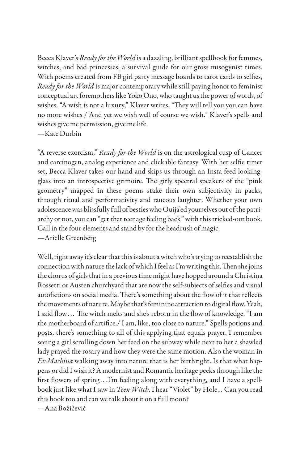Becca Klaver's *Ready for the World* is a dazzling, brilliant spellbook for femmes, witches, and bad princesses, a survival guide for our gross misogynist times. With poems created from FB girl party message boards to tarot cards to selfies, *Ready for the World* is major contemporary while still paying honor to feminist conceptual art foremothers like Yoko Ono, who taught us the power of words, of wishes. "A wish is not a luxury," Klaver writes, "They will tell you you can have no more wishes / And yet we wish well of course we wish." Klaver's spells and wishes give me permission, give me life. —Kate Durbin

"A reverse exorcism," *Ready for the World* is on the astrological cusp of Cancer and carcinogen, analog experience and clickable fantasy. With her selfie timer set, Becca Klaver takes our hand and skips us through an Insta feed lookingglass into an introspective grimoire. The girly spectral speakers of the "pink geometry" mapped in these poems stake their own subjectivity in packs, through ritual and performativity and raucous laughter. Whether your own adolescence was blissfully full of besties who Ouija'ed yourselves out of the patriarchy or not, you can "get that teenage feeling back" with this tricked-out book. Call in the four elements and stand by for the headrush of magic. —Arielle Greenberg

Well, right away it's clear that this is about a witch who's trying to reestablish the connection with nature the lack of which I feel as I'm writing this. Then she joins the chorus of girls that in a previous time might have hopped around a Christina Rossetti or Austen churchyard that are now the self-subjects of selfies and visual autofictions on social media. There's something about the flow of it that reflects the movements of nature. Maybe that's feminine attraction to digital flow. Yeah, I said flow. . . The witch melts and she's reborn in the flow of knowledge. "I am the motherboard of artifice./ I am, like, too close to nature." Spells potions and posts, there's something to all of this applying that equals prayer. I remember seeing a girl scrolling down her feed on the subway while next to her a shawled lady prayed the rosary and how they were the same motion. Also the woman in *Ex Machina* walking away into nature that is her birthright. Is that what happens or did I wish it? A modernist and Romantic heritage peeks through like the first flowers of spring...I'm feeling along with everything, and I have a spellbook just like what I saw in *Teen Witch*. I hear "Violet" by Hole… Can you read this book too and can we talk about it on a full moon? —Ana Božičević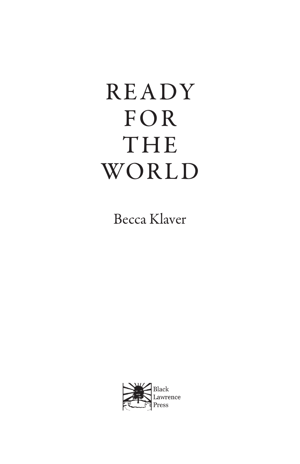# READY FOR THE WORLD

Becca Klaver

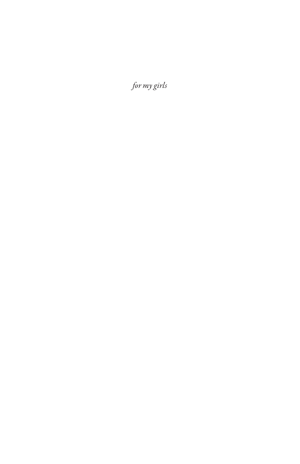*for my girls*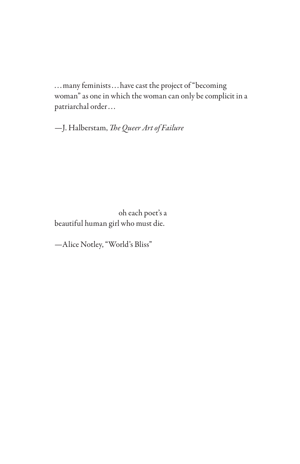... many feminists... have cast the project of "becoming woman" as one in which the woman can only be complicit in a patriarchal order...

—J. Halberstam, *The Queer Art of Failure*

 oh each poet's a beautiful human girl who must die.

—Alice Notley, "World's Bliss"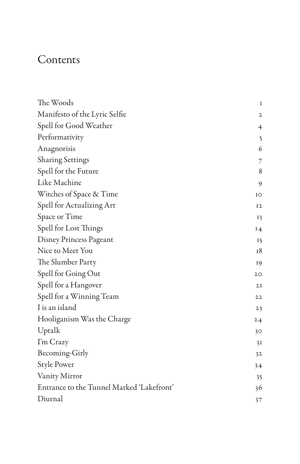## Contents

| The Woods                                 | I            |
|-------------------------------------------|--------------|
| Manifesto of the Lyric Selfie             | $\mathbf{2}$ |
| Spell for Good Weather                    | 4            |
| Performativity                            | $\mathsf{S}$ |
| Anagnorisis                               | 6            |
| <b>Sharing Settings</b>                   | 7            |
| Spell for the Future                      | 8            |
| Like Machine                              | 9            |
| Witches of Space & Time                   | IO           |
| Spell for Actualizing Art                 | 12           |
| Space or Time                             | 13           |
| Spell for Lost Things                     | 14           |
| Disney Princess Pageant                   | 15           |
| Nice to Meet You                          | 18           |
| The Slumber Party                         | 19           |
| Spell for Going Out                       | 20           |
| Spell for a Hangover                      | 2I           |
| Spell for a Winning Team                  | 22           |
| I is an island                            | 23           |
| Hooliganism Was the Charge                | 24           |
| Uptalk                                    | 30           |
| I'm Crazy                                 | 3I           |
| Becoming-Girly                            | 32           |
| <b>Style Power</b>                        | 34           |
| Vanity Mirror                             | 35           |
| Entrance to the Tunnel Marked 'Lakefront' | 36           |
| Diurnal                                   | 37           |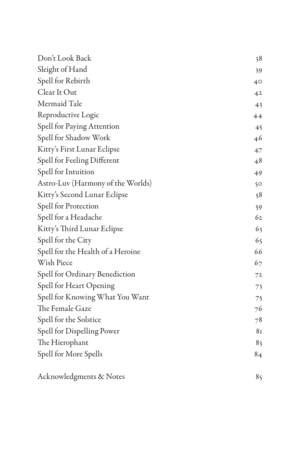| Don't Look Back                   | 38             |
|-----------------------------------|----------------|
| Sleight of Hand                   | 39             |
| Spell for Rebirth                 | 40             |
| Clear It Out                      | 4 <sup>2</sup> |
| Mermaid Tale                      | 43             |
| Reproductive Logic                | 44             |
| Spell for Paying Attention        | 45             |
| Spell for Shadow Work             | 46             |
| Kitty's First Lunar Eclipse       | 47             |
| Spell for Feeling Different       | 48             |
| Spell for Intuition               | 49             |
| Astro-Luv (Harmony of the Worlds) | 50             |
| Kitty's Second Lunar Eclipse      | 58             |
| Spell for Protection              | 59             |
| Spell for a Headache              | 62             |
| Kitty's Third Lunar Eclipse       | 63             |
| Spell for the City                | 65             |
| Spell for the Health of a Heroine | 66             |
| Wish Piece                        | 67             |
| Spell for Ordinary Benediction    | 72             |
| Spell for Heart Opening           | 73             |
| Spell for Knowing What You Want   | 75             |
| The Female Gaze                   | 76             |
| Spell for the Solstice            | 78             |
| Spell for Dispelling Power        | 81             |
| The Hierophant                    | 83             |
| Spell for More Spells             | 84             |
| Acknowledgments & Notes           | 85             |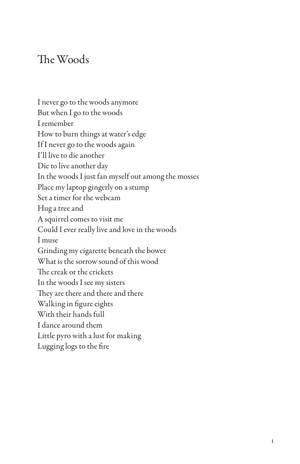#### The Woods

I never go to the woods anymore But when I go to the woods I remember How to burn things at water's edge If I never go to the woods again I'll live to die another Die to live another day In the woods I just fan myself out among the mosses Place my laptop gingerly on a stump Set a timer for the webcam Hug a tree and A squirrel comes to visit me Could I ever really live and love in the woods I muse Grinding my cigarette beneath the bower What is the sorrow sound of this wood The creak or the crickets In the woods I see my sisters They are there and there and there Walking in figure eights With their hands full I dance around them Little pyro with a lust for making Lugging logs to the fire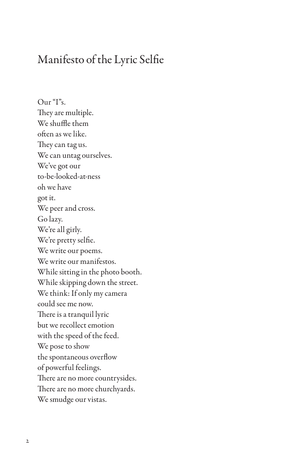#### Manifesto of the Lyric Selfie

Our "I"s. They are multiple. We shuffle them often as we like. They can tag us. We can untag ourselves. We've got our to-be-looked-at-ness oh we have got it. We peer and cross. Go lazy. We're all girly. We're pretty selfie. We write our poems. We write our manifestos. While sitting in the photo booth. While skipping down the street. We think: If only my camera could see me now. There is a tranquil lyric but we recollect emotion with the speed of the feed. We pose to show the spontaneous overflow of powerful feelings. There are no more countrysides. There are no more churchyards. We smudge our vistas.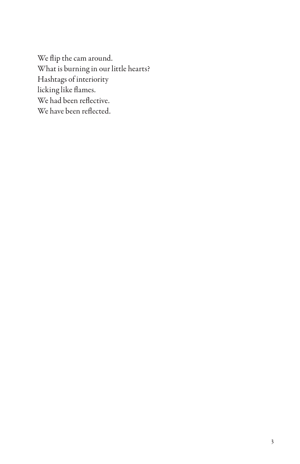We flip the cam around. What is burning in our little hearts? Hashtags of interiority licking like flames. We had been reflective. We have been reflected.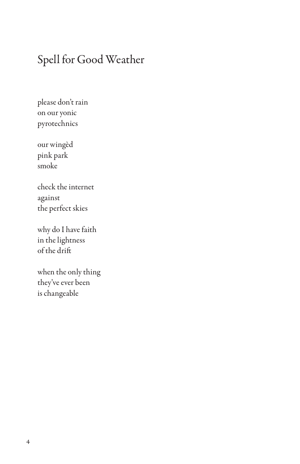## Spell for Good Weather

please don't rain on our yonic pyrotechnics

our wingèd pink park smoke

check the internet against the perfect skies

why do I have faith in the lightness of the drift

when the only thing they've ever been is changeable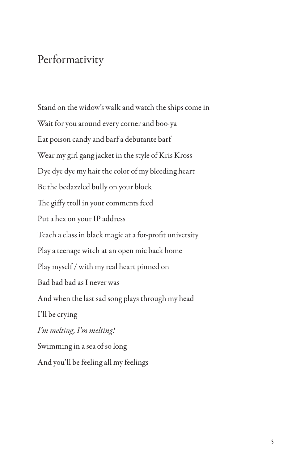#### Performativity

Stand on the widow's walk and watch the ships come in Wait for you around every corner and boo-ya Eat poison candy and barf a debutante barf Wear my girl gang jacket in the style of Kris Kross Dye dye dye my hair the color of my bleeding heart Be the bedazzled bully on your block The giffy troll in your comments feed Put a hex on your IP address Teach a class in black magic at a for-profit university Play a teenage witch at an open mic back home Play myself / with my real heart pinned on Bad bad bad as I never was And when the last sad song plays through my head I'll be crying *I'm melting, I'm melting!* Swimming in a sea of so long And you'll be feeling all my feelings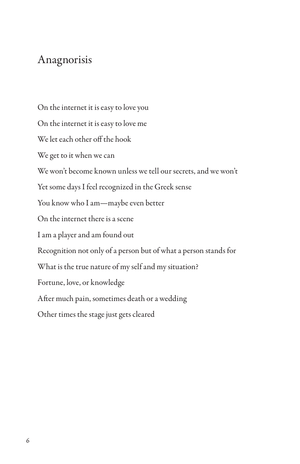#### Anagnorisis

On the internet it is easy to love you On the internet it is easy to love me We let each other off the hook We get to it when we can We won't become known unless we tell our secrets, and we won't Yet some days I feel recognized in the Greek sense You know who I am—maybe even better On the internet there is a scene I am a player and am found out Recognition not only of a person but of what a person stands for What is the true nature of my self and my situation? Fortune, love, or knowledge After much pain, sometimes death or a wedding Other times the stage just gets cleared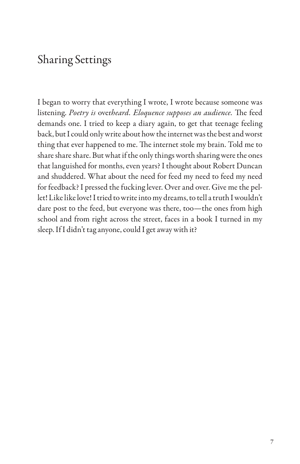## Sharing Settings

I began to worry that everything I wrote, I wrote because someone was listening. *Poetry is* over*heard. Eloquence supposes an audience.* The feed demands one. I tried to keep a diary again, to get that teenage feeling back, but I could only write about how the internet was the best and worst thing that ever happened to me. The internet stole my brain. Told me to share share share. But what if the only things worth sharing were the ones that languished for months, even years? I thought about Robert Duncan and shuddered. What about the need for feed my need to feed my need for feedback? I pressed the fucking lever. Over and over. Give me the pellet! Like like love! I tried to write into my dreams, to tell a truth I wouldn't dare post to the feed, but everyone was there, too—the ones from high school and from right across the street, faces in a book I turned in my sleep. If I didn't tag anyone, could I get away with it?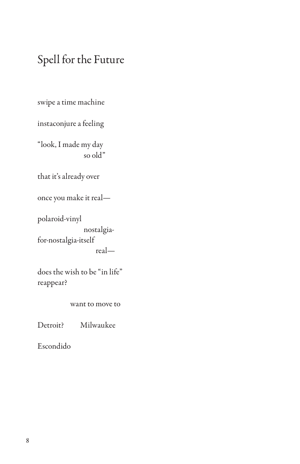## Spell for the Future

swipe a time machine

instaconjure a feeling

"look, I made my day so old"

that it's already over

once you make it real—

polaroid-vinyl nostalgiafor-nostalgia-itself

real—

does the wish to be "in life" reappear?

want to move to

Detroit? Milwaukee

Escondido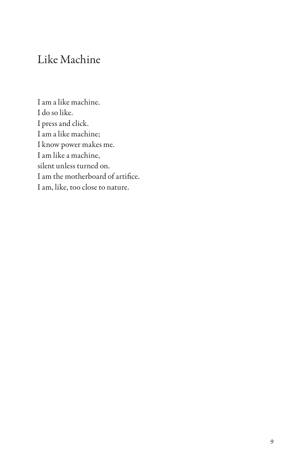## Like Machine

I am a like machine. I do so like. I press and click. I am a like machine; I know power makes me. I am like a machine, silent unless turned on. I am the motherboard of artifice. I am, like, too close to nature.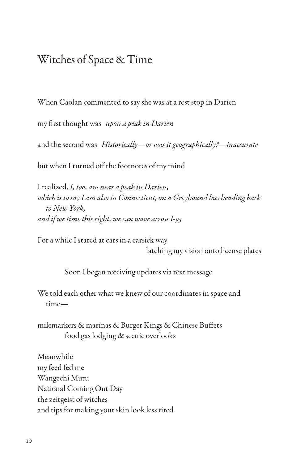#### Witches of Space & Time

When Caolan commented to say she was at a rest stop in Darien

my first thought was *upon a peak in Darien*

and the second was *Historically—or was it geographically?—inaccurate*

but when I turned off the footnotes of my mind

I realized, *I, too, am near a peak in Darien, which is to say I am also in Connecticut, on a Greyhound bus heading back to New York, and if we time this right, we can wave across I-95*

For a while I stared at cars in a carsick way latching my vision onto license plates

Soon I began receiving updates via text message

We told each other what we knew of our coordinates in space and time—

milemarkers & marinas & Burger Kings & Chinese Buffets food gas lodging & scenic overlooks

Meanwhile my feed fed me Wangechi Mutu National Coming Out Day the zeitgeist of witches and tips for making your skin look less tired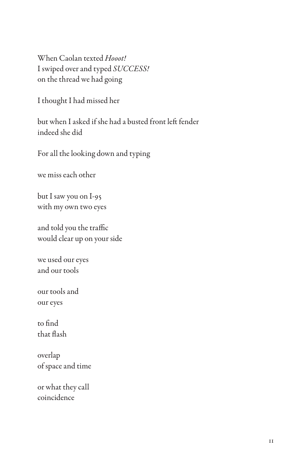When Caolan texted *Hooot!* I swiped over and typed *SUCCESS!* on the thread we had going

I thought I had missed her

but when I asked if she had a busted front left fender indeed she did

For all the looking down and typing

we miss each other

but I saw you on I-95 with my own two eyes

and told you the traffic would clear up on your side

we used our eyes and our tools

our tools and our eyes

to find that flash

overlap of space and time

or what they call coincidence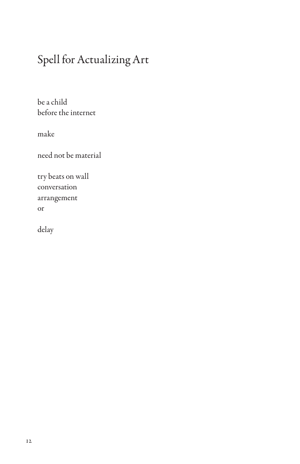## Spell for Actualizing Art

be a child before the internet

make

need not be material

try beats on wall conversation arrangement or

delay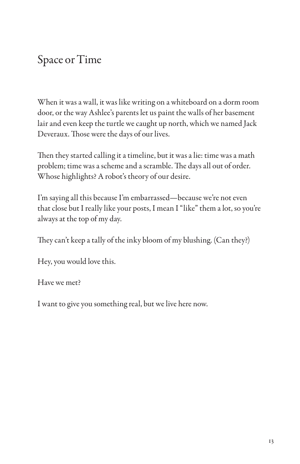## Space or Time

When it was a wall, it was like writing on a whiteboard on a dorm room door, or the way Ashlee's parents let us paint the walls of her basement lair and even keep the turtle we caught up north, which we named Jack Deveraux. Those were the days of our lives.

Then they started calling it a timeline, but it was a lie: time was a math problem; time was a scheme and a scramble. The days all out of order. Whose highlights? A robot's theory of our desire.

I'm saying all this because I'm embarrassed—because we're not even that close but I really like your posts, I mean I "like" them a lot, so you're always at the top of my day.

They can't keep a tally of the inky bloom of my blushing. (Can they?)

Hey, you would love this.

Have we met?

I want to give you something real, but we live here now.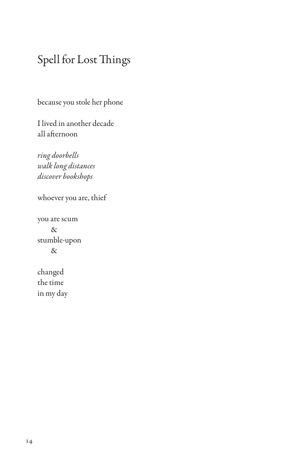## Spell for Lost Things

because you stole her phone

I lived in another decade all afternoon

*ring doorbells walk long distances discover bookshops*

whoever you are, thief

you are scum & stumble-upon &

changed the time in my day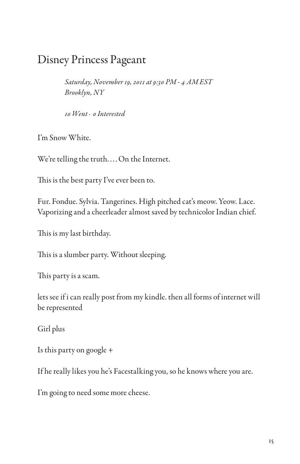## Disney Princess Pageant

*Saturday, November 19, 2011 at 9:30 PM - 4 AM EST Brooklyn, NY*

*10 Went · 0 Interested*

I'm Snow White.

We're telling the truth.... On the Internet.

This is the best party I've ever been to.

Fur. Fondue. Sylvia. Tangerines. High pitched cat's meow. Yeow. Lace. Vaporizing and a cheerleader almost saved by technicolor Indian chief.

This is my last birthday.

This is a slumber party. Without sleeping.

This party is a scam.

lets see if i can really post from my kindle. then all forms of internet will be represented

Girl plus

Is this party on google +

If he really likes you he's Facestalking you, so he knows where you are.

I'm going to need some more cheese.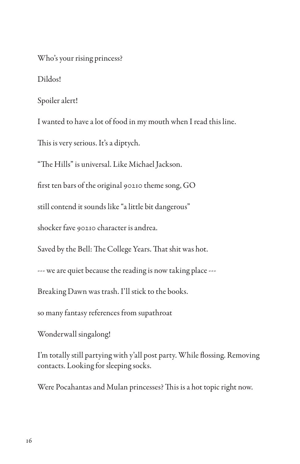Who's your rising princess?

Dildos!

Spoiler alert!

I wanted to have a lot of food in my mouth when I read this line.

This is very serious. It's a diptych.

"The Hills" is universal. Like Michael Jackson.

first ten bars of the original 90210 theme song, GO

still contend it sounds like "a little bit dangerous"

shocker fave 90210 character is andrea.

Saved by the Bell: The College Years. That shit was hot.

--- we are quiet because the reading is now taking place ---

Breaking Dawn was trash. I'll stick to the books.

so many fantasy references from supathroat

Wonderwall singalong!

I'm totally still partying with y'all post party. While flossing. Removing contacts. Looking for sleeping socks.

Were Pocahantas and Mulan princesses? This is a hot topic right now.